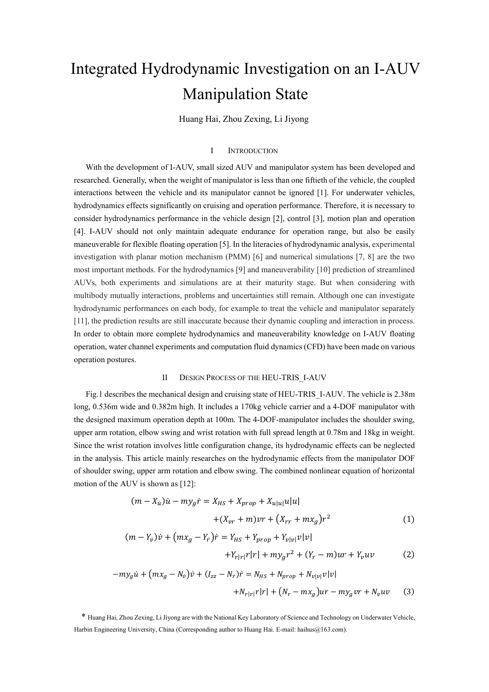# Integrated Hydrodynamic Investigation on an I-AUV Manipulation State

Huang Hai, Zhou Zexing, Li Jiyong

### I INTRODUCTION

With the development of I-AUV, small sized AUV and manipulator system has been developed and researched. Generally, when the weight of manipulator is less than one fiftieth of the vehicle, the coupled interactions between the vehicle and its manipulator cannot be ignored [1]. For underwater vehicles, hydrodynamics effects significantly on cruising and operation performance. Therefore, it is necessary to consider hydrodynamics performance in the vehicle design [2], control [3], motion plan and operation [4]. I-AUV should not only maintain adequate endurance for operation range, but also be easily maneuverable for flexible floating operation [5]. In the literacies of hydrodynamic analysis, experimental investigation with planar motion mechanism (PMM) [6] and numerical simulations [7, 8] are the two most important methods. For the hydrodynamics [9] and maneuverability [10] prediction of streamlined AUVs, both experiments and simulations are at their maturity stage. But when considering with multibody mutually interactions, problems and uncertainties still remain. Although one can investigate hydrodynamic performances on each body, for example to treat the vehicle and manipulator separately [11], the prediction results are still inaccurate because their dynamic coupling and interaction in process. In order to obtain more complete hydrodynamics and maneuverability knowledge on I-AUV floating operation, water channel experiments and computation fluid dynamics (CFD) have been made on various operation postures.

## II DESIGN PROCESS OF THE HEU-TRIS\_I-AUV

Fig.1 describes the mechanical design and cruising state of HEU-TRIS\_I-AUV. The vehicle is 2.38m long, 0.536m wide and 0.382m high. It includes a 170kg vehicle carrier and a 4-DOF manipulator with the designed maximum operation depth at 100m. The 4-DOF-manipulator includes the shoulder swing, upper arm rotation, elbow swing and wrist rotation with full spread length at 0.78m and 18kg in weight. Since the wrist rotation involves little configuration change, its hydrodynamic effects can be neglected in the analysis. This article mainly researches on the hydrodynamic effects from the manipulator DOF of shoulder swing, upper arm rotation and elbow swing. The combined nonlinear equation of horizontal motion of the AUV is shown as [12]:

$$
(m - X_u)\dot{u} - my_g\dot{r} = X_{HS} + X_{prop} + X_{u|u|}u|u|
$$

$$
+ (X_{vr} + m)vr + (X_{rr} + mx_g)r^2
$$
(1)

$$
(m - Y_v)\dot{v} + (mx_g - Y_r)\dot{r} = Y_{HS} + Y_{prop} + Y_{v|v|}v|v| + Y_{r|r|r|r| + my_g r^2 + (Y_r - m)ur + Y_vuv
$$
(2)

$$
-my_{g}\dot{u} + (mx_{g} - N_{\dot{v}})\dot{v} + (I_{zz} - N_{r})\dot{r} = N_{HS} + N_{prop} + N_{v|v|}v|v|
$$
  
+
$$
N_{r|r|}r|r| + (N_{r} - mx_{g})ur - my_{g}vr + N_{v}uv
$$
 (3)

\* Huang Hai, Zhou Zexing, Li Jiyong are with the National Key Laboratory of Science and Technology on Underwater Vehicle, Harbin Engineering University, China (Corresponding author to Huang Hai. E-mail: haihus@163.com).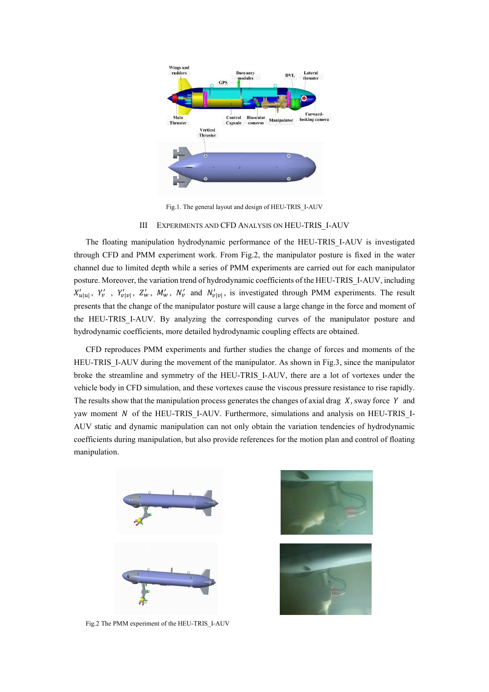

Fig.1. The general layout and design of HEU-TRIS\_I-AUV

#### III EXPERIMENTS AND CFD ANALYSIS ON HEU-TRIS\_I-AUV

The floating manipulation hydrodynamic performance of the HEU-TRIS\_I-AUV is investigated through CFD and PMM experiment work. From Fig.2, the manipulator posture is fixed in the water channel due to limited depth while a series of PMM experiments are carried out for each manipulator posture. Moreover, the variation trend of hydrodynamic coefficients of the HEU-TRIS\_I-AUV, including  $X'_{u|u|}$ ,  $Y'_v$ ,  $Y'_{v|v|}$ ,  $Z'_w$ ,  $M'_w$ ,  $N'_v$  and  $N'_v|v|$ , is investigated through PMM experiments. The result presents that the change of the manipulator posture will cause a large change in the force and moment of the HEU-TRIS I-AUV. By analyzing the corresponding curves of the manipulator posture and hydrodynamic coefficients, more detailed hydrodynamic coupling effects are obtained.

CFD reproduces PMM experiments and further studies the change of forces and moments of the HEU-TRIS I-AUV during the movement of the manipulator. As shown in Fig.3, since the manipulator broke the streamline and symmetry of the HEU-TRIS\_I-AUV, there are a lot of vortexes under the vehicle body in CFD simulation, and these vortexes cause the viscous pressure resistance to rise rapidly. The results show that the manipulation process generates the changes of axial drag  $X$ , sway force  $Y$  and yaw moment  $N$  of the HEU-TRIS I-AUV. Furthermore, simulations and analysis on HEU-TRIS I-AUV static and dynamic manipulation can not only obtain the variation tendencies of hydrodynamic coefficients during manipulation, but also provide references for the motion plan and control of floating manipulation.



Fig.2 The PMM experiment of the HEU-TRIS\_I-AUV